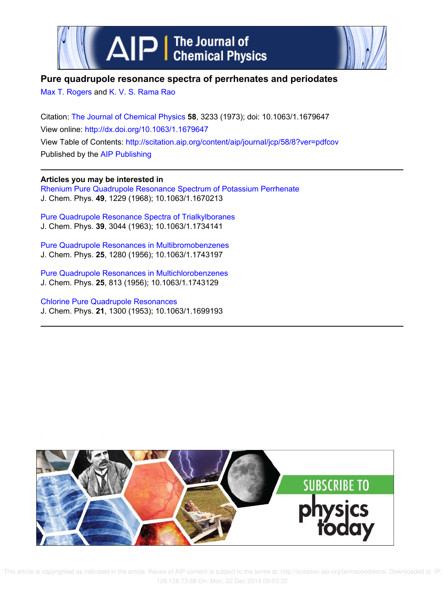



## **Pure quadrupole resonance spectra of perrhenates and periodates**

Max T. Rogers and K. V. S. Rama Rao

Citation: The Journal of Chemical Physics **58**, 3233 (1973); doi: 10.1063/1.1679647 View online: http://dx.doi.org/10.1063/1.1679647 View Table of Contents: http://scitation.aip.org/content/aip/journal/jcp/58/8?ver=pdfcov Published by the AIP Publishing

**Articles you may be interested in** Rhenium Pure Quadrupole Resonance Spectrum of Potassium Perrhenate J. Chem. Phys. **49**, 1229 (1968); 10.1063/1.1670213

Pure Quadrupole Resonance Spectra of Trialkylboranes J. Chem. Phys. **39**, 3044 (1963); 10.1063/1.1734141

Pure Quadrupole Resonances in Multibromobenzenes J. Chem. Phys. **25**, 1280 (1956); 10.1063/1.1743197

Pure Quadrupole Resonances in Multichlorobenzenes J. Chem. Phys. **25**, 813 (1956); 10.1063/1.1743129

Chlorine Pure Quadrupole Resonances J. Chem. Phys. **21**, 1300 (1953); 10.1063/1.1699193



 This article is copyrighted as indicated in the article. Reuse of AIP content is subject to the terms at: http://scitation.aip.org/termsconditions. Downloaded to IP: 128.138.73.68 On: Mon, 22 Dec 2014 09:03:33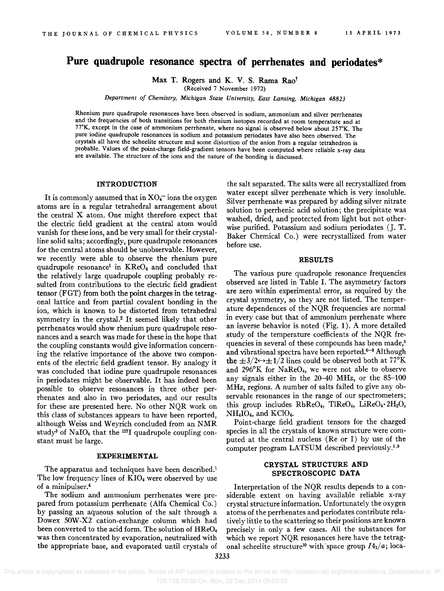# **Pure quadrupole resonance spectra of perrhenates and periodates\***

Max T. Rogers and K. V. S. Rama Rao<sup>t</sup>

(Received 7 November 1972)

*Department of Chemistry. Michigan State University, East Lansing. Michigan 48823* 

Rhenium pure quadrupole resonances have been observed in sodium, ammonium and silver perrhenates and the frequencies of both transitions for both rhenium isotopes recorded at room temperature and at 77°K, except in the case of ammonium perrhenate, where no signal is observed below about 257°K. The pure iodine quadrupole resonances in sodium and potassium periodates have also been observed. The crystals all have the scheelite structure and some distortion of the anion from a regular tetrahedron is probable. Values of the point-charge field-gradient tensors have been computed where reliable x-ray data are available. The structure of the ions and the nature of the bonding is discussed.

## **INTRODUCTION**

It is commonly assumed that in  $XO_4$ <sup>-</sup> ions the oxygen atoms are in a regular tetrahedral arrangement about the central X atom. One might therefore expect that the electric field gradient at the central atom would vanish for these ions, and be very small for their crystalline solid salts; accordingly, pure quadrupole resonances for the central atoms should be unobservable. However, we recently were able to observe the rhenium pure quadrupole resonance<sup>1</sup> in KReO<sub>4</sub> and concluded that the relatively large quadrupole coupling probably resulted from contributions to the electric field gradient tensor (FGT) from both the point charges in the tetragonal lattice and from partial covalent bonding in the ion, which is known to be distorted from tetrahedral symmetry in the crysta1.2 It seemed likely that other perrhenates would show rhenium pure quadrupole resonances and a search was made for these in the hope that the coupling constants would give information concerning the relative importance of the above two components of the electric field gradient tensor. By analogy it was concluded that iodine pure quadrupole resonances in periodates might be observable. It has indeed been possible to observe resonances in three other perrhenates and also in two periodates, and our results for these are presented here. No other NQR work on this class of substances appears to have been reported, although Weiss and Weyrich concluded from an NMR study<sup>3</sup> of NaIO<sub>4</sub> that the <sup>127</sup>I quadrupole coupling constant must be large.

### **EXPERIMENTAL**

The apparatus and techniques have been described.<sup>1</sup> The low frequency lines of  $KIO<sub>4</sub>$  were observed by use of a minipulser.<sup>4</sup>

pared from potassium perrhenate (Alfa Chemical Co.) crystal structure information. Unfortunately the oxygen by passing an aqueous solution of the salt through a atoms of the perrhenates and periodates contribute rela-Dowex SOW -X2 cation-exchange column which had tively little to the scattering so their positions are known been converted to the acid form. The solution of HReO<sub>4</sub> precisely in only a few cases. All the substances for was then concentrated by evaporation, neutralized with which we report NQR resonances here have the tetragwas then concentrated by evaporation, neutralized with the appropriate base, and evaporated until crystals of onal scheelite structure<sup>10</sup> with space group  $I4_1/a$ ; loca-

the salt separated. The salts were all recrystallized from water except silver perrhenate which is very insoluble. Silver perrhenate was prepared by adding silver nitrate solution to perrhenic acid solution; the precipitate was washed, dried, and protected from light but not otherwise purified. Potassium and sodium periodates (J. T. Baker Chemical Co.) were recrystallized from water before use.

#### **RESULTS**

The various pure quadrupole resonance frequencies observed are listed in Table I. The asymmetry factors are zero within experimental error, as required by the crystal symmetry, so they are not listed. The temperature dependences of the NQR frequencies are normal in every case but that of ammonium perrhenate where an inverse behavior is noted (Fig. 1). A more detailed study of the temperature coefficients of the NQR frequencies in several of these compounds has been made,<sup>5</sup> and vibrational spectra have been reported.<sup>6–8</sup> Although the  $\pm 3/2 \leftrightarrow \pm 1/2$  lines could be observed both at 77<sup>o</sup>K and  $296^{\circ}K$  for NaReO<sub>4</sub>, we were not able to observe any signals either in the 20-40 MHz, or the 85-100 MHz, regions. A number of salts failed to give any observable resonances in the range of our spectrometers; this group includes  $RbReO_4$ ,  $TlReO_4$ ,  $LiReO_4 \cdot 2H_2O$ ,  $NH<sub>4</sub>IO<sub>4</sub>$ , and KClO<sub>4</sub>.

Point-charge field gradient tensors for the charged species in all the crystals of known structure were computed at the central nucleus (Re or I) by use of the computer program LATSUM described previously.<sup>1,9</sup>

## **CRYSTAL STRUCTURE AND SPECTROSCOPIC DATA**

Interpretation of the NQR results depends to a con-The sodium and ammonium perrhenates were pre- siderable extent on having available reliable x-ray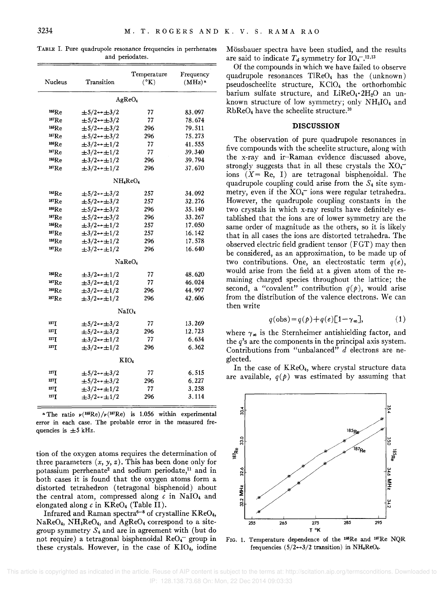|  |  |                 |  | TABLE I. Pure quadrupole resonance frequencies in perrhenates |
|--|--|-----------------|--|---------------------------------------------------------------|
|  |  | and periodates. |  |                                                               |

| Nucleus           | Transition                    | Temperature<br>$(^{\circ}K)$     | Frequency<br>$(MHz)^*$ |
|-------------------|-------------------------------|----------------------------------|------------------------|
|                   |                               | AgReO <sub>4</sub>               |                        |
| 185 <sub>Re</sub> | $\pm 5/2 \rightarrow \pm 3/2$ | 77                               | 83.097                 |
| 187Re             | $\pm 5/2 \rightarrow \pm 3/2$ | 77                               | 78.674                 |
| 185Re             | $\pm 5/2 \rightarrow \pm 3/2$ | 296                              | 79.511                 |
| 187Re             | $\pm 5/2 \rightarrow \pm 3/2$ | 296                              | 75.273                 |
| 185Re             | $\pm 3/2 \rightarrow \pm 1/2$ | 77                               | 41.555                 |
| 187Re             | $\pm 3/2 \rightarrow \pm 1/2$ | 77                               | 39.340                 |
| $^{185}$ Re       | $\pm 3/2 \rightarrow \pm 1/2$ | 296                              | 39.794                 |
| 187Re             | $\pm 3/2 \rightarrow \pm 1/2$ | 296                              | 37.670                 |
|                   |                               | NH <sub>4</sub> ReO <sub>4</sub> |                        |
| 185Re             | $\pm 5/2 \rightarrow \pm 3/2$ | 257                              | 34.092                 |
| 187Re             | $\pm 5/2 \rightarrow \pm 3/2$ | 257                              | 32.276                 |
| 185Re             | $\pm 5/2 \rightarrow \pm 3/2$ | 296                              | 35.140                 |
| <sup>187</sup> Re | $\pm 5/2 \rightarrow \pm 3/2$ | 296                              | 33.267                 |
| 185Re             | $\pm 3/2 \rightarrow \pm 1/2$ | 257                              | 17.050                 |
| 187Re             | $\pm 3/2 \rightarrow \pm 1/2$ | 257                              | 16.142                 |
| 185Re             | $\pm 3/2 \rightarrow \pm 1/2$ | 296                              | 17.578                 |
| 187Re             | $\pm 3/2 \rightarrow \pm 1/2$ | 296                              | 16.640                 |
|                   |                               | NaReO <sub>4</sub>               |                        |
| 185Re             | $\pm 3/2 \rightarrow \pm 1/2$ | 77                               | 48.620                 |
| 187Re             | $\pm 3/2 \rightarrow \pm 1/2$ | 77                               | 46.024                 |
| 185Re             | $\pm 3/2 \rightarrow \pm 1/2$ | 296                              | 44.997                 |
| 187Re             | $\pm 3/2 \rightarrow \pm 1/2$ | 296                              | 42.606                 |
|                   |                               | NaIO4                            |                        |
| 127 <sub>T</sub>  | $\pm 5/2 \rightarrow \pm 3/2$ | 77                               | 13.269                 |
| $127$ T           | $\pm 5/2 \rightarrow \pm 3/2$ | 296                              | 12.723                 |
| 127 <sub>T</sub>  | $\pm 3/2 \rightarrow \pm 1/2$ | 77                               | 6.634                  |
| 127 T             | $\pm 3/2 \rightarrow \pm 1/2$ | 296                              | 6.362                  |
|                   |                               | KIO <sub>4</sub>                 |                        |
| 127 <b>T</b>      | $\pm 5/2 \rightarrow \pm 3/2$ | 77                               | 6.515                  |
| 127T              | $\pm 5/2 \rightarrow \pm 3/2$ | 296                              | 6.227                  |
| 127 T             | $\pm 3/2 \rightarrow \pm 1/2$ | 77                               | 3.258                  |
| 127]              | $\pm 3/2 \rightarrow \pm 1/2$ | 296                              | 3.114                  |

<sup>a</sup> The ratio  $\nu(^{185}Re)/\nu(^{187}Re)$  is 1.056 within experimental error in each case. The probable error in the measured frequencies is  $\pm 5$  kHz.

tion of the oxygen atoms requires the determination of three parameters  $(x, y, z)$ . This has been done only for potassium perrhenate<sup>2</sup> and sodium periodate,<sup>11</sup> and in both cases it is found that the oxygen atoms form a distorted tetrahedron (tetragonal bisphenoid) about the central atom, compressed along  $c$  in NaIO<sub>4</sub> and elongated along *c* in KRe04 (Table II).

Infrared and Raman spectra<sup>6-8</sup> of crystalline KReO<sub>4</sub>,  $NaReO<sub>4</sub>$ ,  $NH<sub>4</sub>ReO<sub>4</sub>$ , and  $AgReO<sub>4</sub>$  correspond to a sitegroup symmetry *S4* and are in agreement with (but do not require) a tetragonal bisphenoidal  $\text{ReO}_4$  group in these crystals. However, in the case of  $KIO<sub>4</sub>$ , iodine Mossbauer spectra have been studied, and the results are said to indicate  $T_d$  symmetry for  $IO_4^{-12,13}$ 

Of the compounds in which we have failed to observe quadrupole resonances TIRe04 has the (unknown) pseudoscheelite structure, KCI04 the orthorhombic barium sulfate structure, and  $LiReO<sub>4</sub> \cdot 2H<sub>2</sub>O$  an unknown structure of low symmetry; only  $NH<sub>4</sub>IO<sub>4</sub>$  and  $RbReO<sub>4</sub>$  have the scheelite structure.<sup>10</sup>

## **DISCUSSION**

The observation of pure quadrupole resonances in five compounds with the scheelite structure, along with the x-ray and ir-Raman evidence discussed above, strongly suggests that in all these crystals the  $XO_4^$ ions  $(X = Re, I)$  are tetragonal bisphenoidal. The quadrupole coupling could arise from the *S4* site symmetry, even if the  $XO<sub>4</sub>$  ions were regular tetrahedra. However, the quadrupole coupling constants in the two crystals in which x-ray results have definitely established that the ions are of lower symmetry are the same order of magnitude as the others, so it is likely that in all cases the ions are distorted tetrahedra. The observed electric field gradient tensor (FGT) may then be considered, as an approximation, to be made up of two contributions. One, an electrostatic term *q(e),*  would arise from the field at a given atom of the remaining charged species throughout the lattice; the second, a "covalent" contribution  $q(p)$ , would arise from the distribution of the valence electrons. We can then write

$$
q(\text{obs}) = q(p) + q(e)[1 - \gamma_{\infty}], \tag{1}
$$

where  $\gamma_{\infty}$  is the Sternheimer antishielding factor, and the  $q$ 's are the components in the principal axis system. Contributions from "unbalanced" d electrons are neglected.

In the case of  $KReO<sub>4</sub>$ , where crystal structure data are available,  $q(p)$  was estimated by assuming that



FIG. 1. Temperature dependence of the <sup>185</sup>Re and <sup>187</sup>Re NQR frequencies  $(5/2 \rightarrow 3/2 \text{ transition})$  in NH<sub>4</sub>ReO<sub>4</sub>.